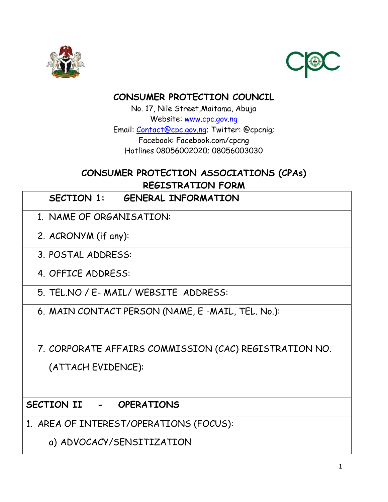



## **CONSUMER PROTECTION COUNCIL**

No. 17, Nile Street,Maitama, Abuja Website: [www.cpc.gov.ng](http://www.cpc.gov.ng/) Email: [Contact@cpc.gov.ng;](mailto:Contact@cpc.gov.ng) Twitter: @cpcnig; Facebook: Facebook.com/cpcng Hotlines 08056002020; 08056003030

## **CONSUMER PROTECTION ASSOCIATIONS (CPAs) REGISTRATION FORM**

- **SECTION 1: GENERAL INFORMATION**
- 1. NAME OF ORGANISATION:
- 2. ACRONYM (if any):
- 3. POSTAL ADDRESS:
- 4. OFFICE ADDRESS:
- 5. TEL.NO / E- MAIL/ WEBSITE ADDRESS:
- 6. MAIN CONTACT PERSON (NAME, E -MAIL, TEL. No.):
- 7. CORPORATE AFFAIRS COMMISSION (CAC) REGISTRATION NO.
	- (ATTACH EVIDENCE):

**SECTION II - OPERATIONS**

- 1. AREA OF INTEREST/OPERATIONS (FOCUS):
	- a) ADVOCACY/SENSITIZATION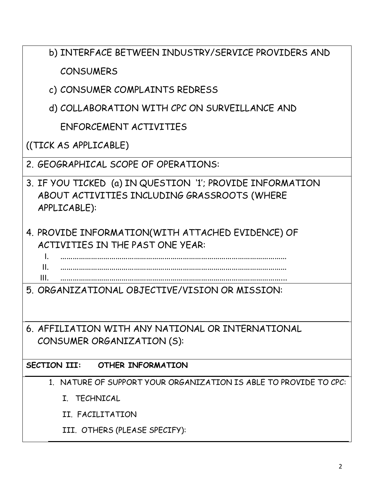| b) INTERFACE BETWEEN INDUSTRY/SERVICE PROVIDERS AND                                                                       |
|---------------------------------------------------------------------------------------------------------------------------|
| <b>CONSUMERS</b>                                                                                                          |
| c) CONSUMER COMPLAINTS REDRESS                                                                                            |
| d) COLLABORATION WITH CPC ON SURVEILLANCE AND                                                                             |
| ENFORCEMENT ACTIVITIES                                                                                                    |
| ((TICK AS APPLICABLE)                                                                                                     |
| 2. GEOGRAPHICAL SCOPE OF OPERATIONS:                                                                                      |
| 3. IF YOU TICKED (a) IN QUESTION '1'; PROVIDE INFORMATION<br>ABOUT ACTIVITIES INCLUDING GRASSROOTS (WHERE<br>APPLICABLE): |
| 4. PROVIDE INFORMATION(WITH ATTACHED EVIDENCE) OF<br>ACTIVITIES IN THE PAST ONE YEAR:<br>$\mathsf{L}$<br>II.<br>III.      |
| 5. ORGANIZATIONAL OBJECTIVE/VISION OR MISSION:                                                                            |
| 6. AFFILIATION WITH ANY NATIONAL OR INTERNATIONAL<br>CONSUMER ORGANIZATION (S):                                           |
| <b>OTHER INFORMATION</b><br><b>SECTION III:</b>                                                                           |
| 1. NATURE OF SUPPORT YOUR ORGANIZATION IS ABLE TO PROVIDE TO CPC:                                                         |
| I. TECHNICAL                                                                                                              |
| II. FACILITATION                                                                                                          |
| III. OTHERS (PLEASE SPECIFY):                                                                                             |